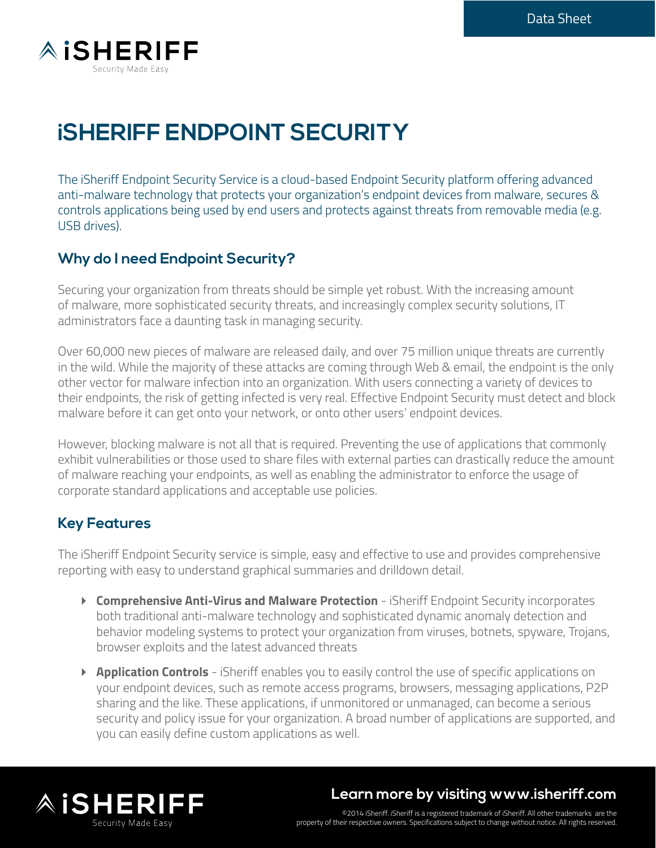

# **iSHERIFF ENDPOINT SECURITY**

The iSheriff Endpoint Security Service is a cloud-based Endpoint Security platform offering advanced anti-malware technology that protects your organization's endpoint devices from malware, secures & controls applications being used by end users and protects against threats from removable media (e.g. USB drives).

#### **Why do I need Endpoint Security?**

Securing your organization from threats should be simple yet robust. With the increasing amount of malware, more sophisticated security threats, and increasingly complex security solutions, IT administrators face a daunting task in managing security.

Over 60,000 new pieces of malware are released daily, and over 75 million unique threats are currently in the wild. While the majority of these attacks are coming through Web & email, the endpoint is the only other vector for malware infection into an organization. With users connecting a variety of devices to their endpoints, the risk of getting infected is very real. Effective Endpoint Security must detect and block malware before it can get onto your network, or onto other users' endpoint devices.

However, blocking malware is not all that is required. Preventing the use of applications that commonly exhibit vulnerabilities or those used to share files with external parties can drastically reduce the amount of malware reaching your endpoints, as well as enabling the administrator to enforce the usage of corporate standard applications and acceptable use policies.

#### **Key Features**

The iSheriff Endpoint Security service is simple, easy and effective to use and provides comprehensive reporting with easy to understand graphical summaries and drilldown detail.

- **Comprehensive Anti-Virus and Malware Protection** iSheriff Endpoint Security incorporates both traditional anti-malware technology and sophisticated dynamic anomaly detection and behavior modeling systems to protect your organization from viruses, botnets, spyware, Trojans, browser exploits and the latest advanced threats
- **Application Controls** iSheriff enables you to easily control the use of specific applications on your endpoint devices, such as remote access programs, browsers, messaging applications, P2P sharing and the like. These applications, if unmonitored or unmanaged, can become a serious security and policy issue for your organization. A broad number of applications are supported, and you can easily define custom applications as well.



# **Learn more by visiting www.isheriff.com**

©2014 iSheriff. iSheriff is a registered trademark of iSheriff. All other trademarks are the property of their respective owners. Specifications subject to change without notice. All rights reserved.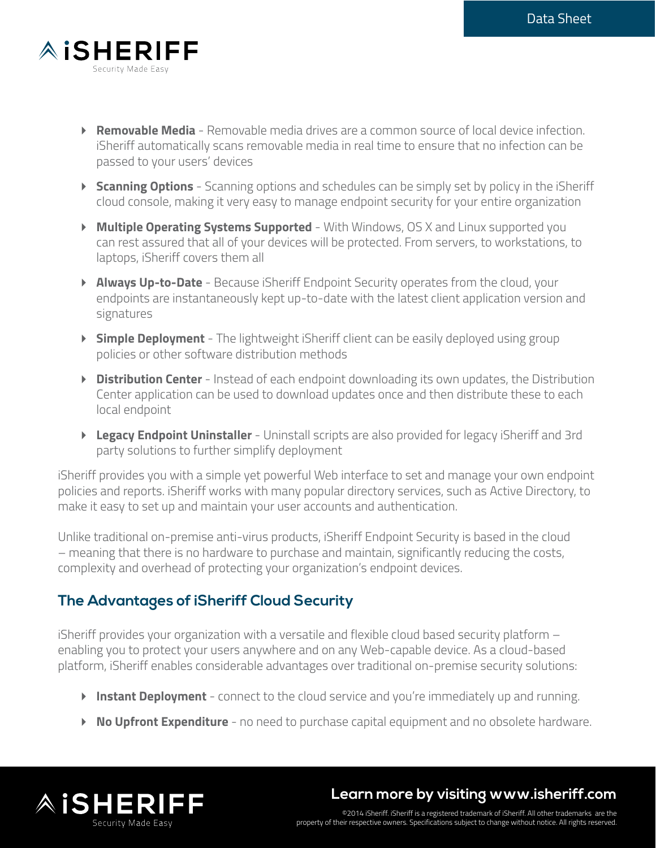

- **Removable Media** Removable media drives are a common source of local device infection. iSheriff automatically scans removable media in real time to ensure that no infection can be passed to your users' devices
- **Scanning Options** Scanning options and schedules can be simply set by policy in the iSheriff cloud console, making it very easy to manage endpoint security for your entire organization
- **Multiple Operating Systems Supported** With Windows, OS X and Linux supported you can rest assured that all of your devices will be protected. From servers, to workstations, to laptops, iSheriff covers them all
- **Always Up-to-Date** Because iSheriff Endpoint Security operates from the cloud, your endpoints are instantaneously kept up-to-date with the latest client application version and signatures
- **Simple Deployment** The lightweight iSheriff client can be easily deployed using group policies or other software distribution methods
- **Distribution Center** Instead of each endpoint downloading its own updates, the Distribution Center application can be used to download updates once and then distribute these to each local endpoint
- **Legacy Endpoint Uninstaller** Uninstall scripts are also provided for legacy iSheriff and 3rd party solutions to further simplify deployment

iSheriff provides you with a simple yet powerful Web interface to set and manage your own endpoint policies and reports. iSheriff works with many popular directory services, such as Active Directory, to make it easy to set up and maintain your user accounts and authentication.

Unlike traditional on-premise anti-virus products, iSheriff Endpoint Security is based in the cloud – meaning that there is no hardware to purchase and maintain, significantly reducing the costs, complexity and overhead of protecting your organization's endpoint devices.

## **The Advantages of iSheriff Cloud Security**

iSheriff provides your organization with a versatile and flexible cloud based security platform – enabling you to protect your users anywhere and on any Web-capable device. As a cloud-based platform, iSheriff enables considerable advantages over traditional on-premise security solutions:

- **Instant Deployment** connect to the cloud service and you're immediately up and running.
- **No Upfront Expenditure** no need to purchase capital equipment and no obsolete hardware.



**Learn more by visiting www.isheriff.com**

©2014 iSheriff. iSheriff is a registered trademark of iSheriff. All other trademarks are the property of their respective owners. Specifications subject to change without notice. All rights reserved.